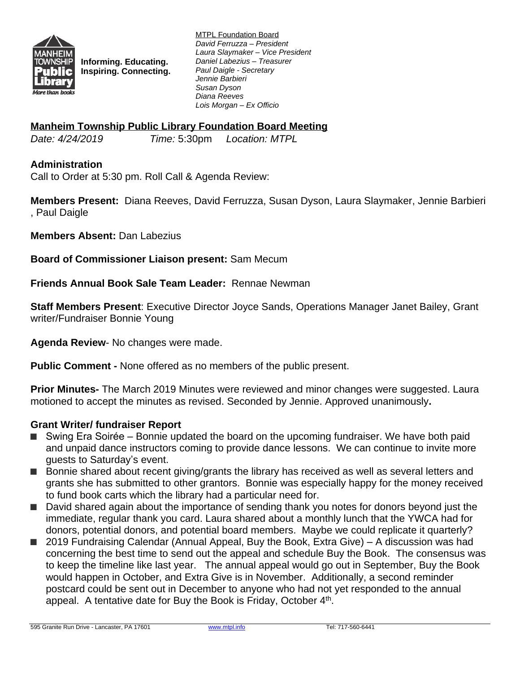

**Informing. Educating. Inspiring. Connecting.** MTPL Foundation Board *David Ferruzza – President Laura Slaymaker – Vice President Daniel Labezius – Treasurer Paul Daigle - Secretary Jennie Barbieri Susan Dyson Diana Reeves Lois Morgan – Ex Officio*

### **Manheim Township Public Library Foundation Board Meeting**

*Date: 4/24/2019 Time:* 5:30pm *Location: MTPL*

### **Administration**

Call to Order at 5:30 pm. Roll Call & Agenda Review:

**Members Present:** Diana Reeves, David Ferruzza, Susan Dyson, Laura Slaymaker, Jennie Barbieri , Paul Daigle

**Members Absent:** Dan Labezius

**Board of Commissioner Liaison present:** Sam Mecum

**Friends Annual Book Sale Team Leader:** Rennae Newman

**Staff Members Present**: Executive Director Joyce Sands, Operations Manager Janet Bailey, Grant writer/Fundraiser Bonnie Young

**Agenda Review**- No changes were made.

**Public Comment -** None offered as no members of the public present.

**Prior Minutes-** The March 2019 Minutes were reviewed and minor changes were suggested. Laura motioned to accept the minutes as revised. Seconded by Jennie. Approved unanimously**.**

#### **Grant Writer/ fundraiser Report**

- Swing Era Soirée Bonnie updated the board on the upcoming fundraiser. We have both paid and unpaid dance instructors coming to provide dance lessons. We can continue to invite more guests to Saturday's event.
- Bonnie shared about recent giving/grants the library has received as well as several letters and grants she has submitted to other grantors. Bonnie was especially happy for the money received to fund book carts which the library had a particular need for.
- David shared again about the importance of sending thank you notes for donors beyond just the immediate, regular thank you card. Laura shared about a monthly lunch that the YWCA had for donors, potential donors, and potential board members. Maybe we could replicate it quarterly?
- 2019 Fundraising Calendar (Annual Appeal, Buy the Book, Extra Give) A discussion was had concerning the best time to send out the appeal and schedule Buy the Book. The consensus was to keep the timeline like last year. The annual appeal would go out in September, Buy the Book would happen in October, and Extra Give is in November. Additionally, a second reminder postcard could be sent out in December to anyone who had not yet responded to the annual appeal. A tentative date for Buy the Book is Friday, October 4<sup>th</sup>.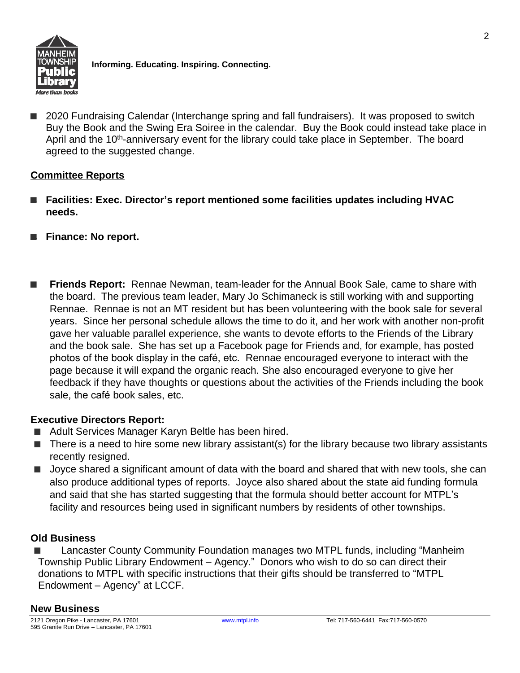

**Informing. Educating. Inspiring. Connecting.**

■ 2020 Fundraising Calendar (Interchange spring and fall fundraisers). It was proposed to switch Buy the Book and the Swing Era Soiree in the calendar. Buy the Book could instead take place in April and the 10<sup>th</sup>-anniversary event for the library could take place in September. The board agreed to the suggested change.

# **Committee Reports**

- Facilities: Exec. Director's report mentioned some facilities updates including HVAC **needs.**
- **■ Finance: No report.**
- **Friends Report:** Rennae Newman, team-leader for the Annual Book Sale, came to share with the board. The previous team leader, Mary Jo Schimaneck is still working with and supporting Rennae. Rennae is not an MT resident but has been volunteering with the book sale for several years. Since her personal schedule allows the time to do it, and her work with another non-profit gave her valuable parallel experience, she wants to devote efforts to the Friends of the Library and the book sale. She has set up a Facebook page for Friends and, for example, has posted photos of the book display in the café, etc. Rennae encouraged everyone to interact with the page because it will expand the organic reach. She also encouraged everyone to give her feedback if they have thoughts or questions about the activities of the Friends including the book sale, the café book sales, etc.

# **Executive Directors Report:**

- Adult Services Manager Karyn Beltle has been hired.
- There is a need to hire some new library assistant(s) for the library because two library assistants recently resigned.
- Joyce shared a significant amount of data with the board and shared that with new tools, she can also produce additional types of reports. Joyce also shared about the state aid funding formula and said that she has started suggesting that the formula should better account for MTPL's facility and resources being used in significant numbers by residents of other townships.

# **Old Business**

■ Lancaster County Community Foundation manages two MTPL funds, including "Manheim Township Public Library Endowment – Agency." Donors who wish to do so can direct their donations to MTPL with specific instructions that their gifts should be transferred to "MTPL Endowment – Agency" at LCCF.